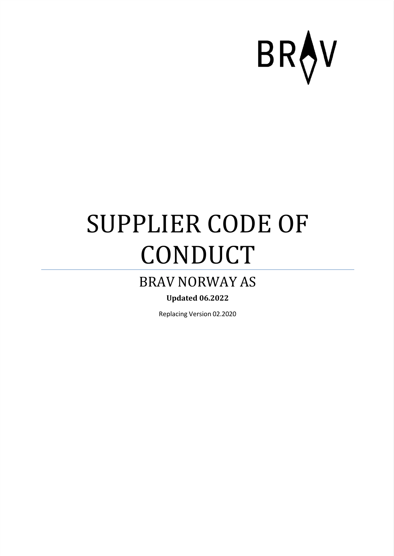

### SUPPLIER CODE OF CONDUCT

#### BRAV NORWAY AS

#### **Updated 06.2022**

Replacing Version 02.2020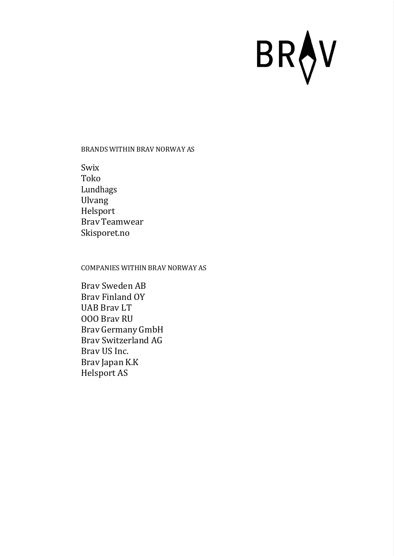#### BRANDS WITHIN BRAV NORWAY AS

Swix Toko Lundhags Ulvang Helsport Brav Teamwear Skisporet.no

#### COMPANIES WITHIN BRAV NORWAY AS

Brav Sweden AB Brav Finland OY UAB Brav LT OOO Brav RU Brav Germany GmbH Brav Switzerland AG Brav US Inc. Brav Japan K.K Helsport AS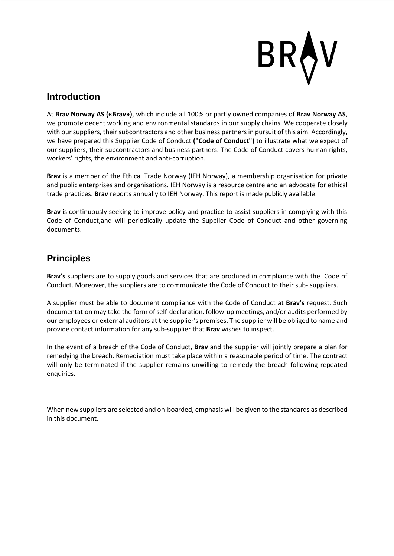

#### **Introduction**

At **Brav Norway AS («Brav»)**, which include all 100% or partly owned companies of **Brav Norway AS**, we promote decent working and environmental standards in our supply chains. We cooperate closely with our suppliers, their subcontractors and other business partners in pursuit of this aim. Accordingly, we have prepared this Supplier Code of Conduct **("Code of Conduct")** to illustrate what we expect of our suppliers, their subcontractors and business partners. The Code of Conduct covers human rights, workers' rights, the environment and anti-corruption.

**Brav** is a member of the Ethical Trade Norway (IEH Norway), a membership organisation for private and public enterprises and organisations. IEH Norway is a resource centre and an advocate for ethical trade practices. **Brav** reports annually to IEH Norway. This report is made publicly available.

**Brav** is continuously seeking to improve policy and practice to assist suppliers in complying with this Code of Conduct,and will periodically update the Supplier Code of Conduct and other governing documents.

#### **Principles**

**Brav's** suppliers are to supply goods and services that are produced in compliance with the Code of Conduct. Moreover, the suppliers are to communicate the Code of Conduct to their sub- suppliers.

A supplier must be able to document compliance with the Code of Conduct at **Brav's** request. Such documentation may take the form of self-declaration, follow-up meetings, and/or audits performed by our employees or external auditors at the supplier's premises. The supplier will be obliged to name and provide contact information for any sub-supplier that **Brav** wishes to inspect.

In the event of a breach of the Code of Conduct, **Brav** and the supplier will jointly prepare a plan for remedying the breach. Remediation must take place within a reasonable period of time. The contract will only be terminated if the supplier remains unwilling to remedy the breach following repeated enquiries.

When new suppliers are selected and on-boarded, emphasis will be given to the standards as described in this document.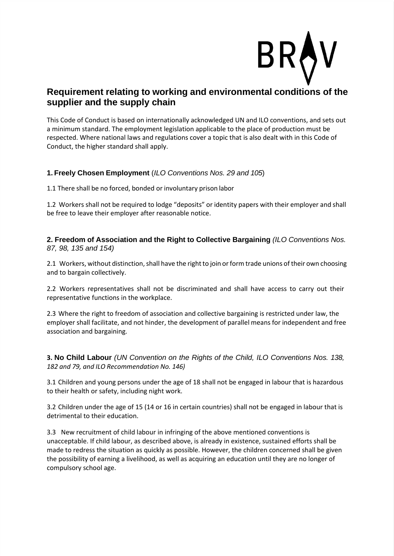

#### **Requirement relating to working and environmental conditions of the supplier and the supply chain**

This Code of Conduct is based on internationally acknowledged UN and ILO conventions, and sets out a minimum standard. The employment legislation applicable to the place of production must be respected. Where national laws and regulations cover a topic that is also dealt with in this Code of Conduct, the higher standard shall apply.

#### **1. Freely Chosen Employment** (*ILO Conventions Nos. 29 and 105*)

1.1 There shall be no forced, bonded or involuntary prison labor

1.2 Workers shall not be required to lodge "deposits" or identity papers with their employer and shall be free to leave their employer after reasonable notice.

**2. Freedom of Association and the Right to Collective Bargaining** *(ILO Conventions Nos. 87, 98, 135 and 154)*

2.1 Workers, without distinction, shall have the right to join or form trade unions of their own choosing and to bargain collectively.

2.2 Workers representatives shall not be discriminated and shall have access to carry out their representative functions in the workplace.

2.3 Where the right to freedom of association and collective bargaining is restricted under law, the employer shall facilitate, and not hinder, the development of parallel means for independent and free association and bargaining.

**3. No Child Labour** *(UN Convention on the Rights of the Child, ILO Conventions Nos. 138, 182 and 79, and ILO Recommendation No. 146)*

3.1 Children and young persons under the age of 18 shall not be engaged in labour that is hazardous to their health or safety, including night work.

3.2 Children under the age of 15 (14 or 16 in certain countries) shall not be engaged in labour that is detrimental to their education.

3.3 New recruitment of child labour in infringing of the above mentioned conventions is unacceptable. If child labour, as described above, is already in existence, sustained efforts shall be made to redress the situation as quickly as possible. However, the children concerned shall be given the possibility of earning a livelihood, as well as acquiring an education until they are no longer of compulsory school age.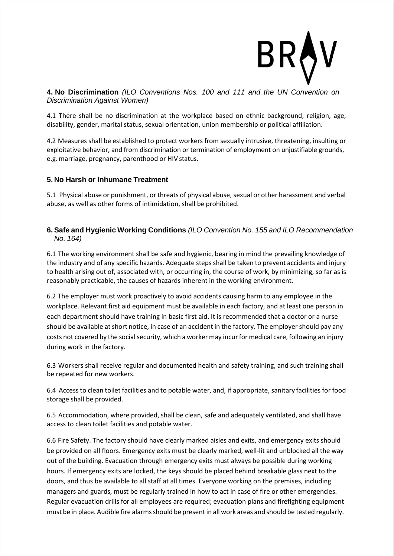

**4. No Discrimination** *(ILO Conventions Nos. 100 and 111 and the UN Convention on Discrimination Against Women)*

4.1 There shall be no discrimination at the workplace based on ethnic background, religion, age, disability, gender, marital status, sexual orientation, union membership or political affiliation.

4.2 Measures shall be established to protect workers from sexually intrusive, threatening, insulting or exploitative behavior, and from discrimination or termination of employment on unjustifiable grounds, e.g. marriage, pregnancy, parenthood or HIV status.

#### **5. No Harsh or Inhumane Treatment**

5.1 Physical abuse or punishment, or threats of physical abuse, sexual or other harassment and verbal abuse, as well as other forms of intimidation, shall be prohibited.

#### **6. Safe and Hygienic Working Conditions** *(ILO Convention No. 155 and ILO Recommendation No. 164)*

6.1 The working environment shall be safe and hygienic, bearing in mind the prevailing knowledge of the industry and of any specific hazards. Adequate steps shall be taken to prevent accidents and injury to health arising out of, associated with, or occurring in, the course of work, by minimizing, so far as is reasonably practicable, the causes of hazards inherent in the working environment.

6.2 The employer must work proactively to avoid accidents causing harm to any employee in the workplace. Relevant first aid equipment must be available in each factory, and at least one person in each department should have training in basic first aid. It is recommended that a doctor or a nurse should be available atshort notice, in case of an accident in the factory. The employer should pay any costs not covered by the social security, which a worker may incur for medical care, following an injury during work in the factory.

6.3 Workers shall receive regular and documented health and safety training, and such training shall be repeated for new workers.

6.4 Access to clean toilet facilities and to potable water, and, if appropriate, sanitary facilities for food storage shall be provided.

6.5 Accommodation, where provided, shall be clean, safe and adequately ventilated, and shall have access to clean toilet facilities and potable water.

6.6 Fire Safety. The factory should have clearly marked aisles and exits, and emergency exits should be provided on all floors. Emergency exits must be clearly marked, well-lit and unblocked all the way out of the building. Evacuation through emergency exits must always be possible during working hours. If emergency exits are locked, the keys should be placed behind breakable glass next to the doors, and thus be available to all staff at all times. Everyone working on the premises, including managers and guards, must be regularly trained in how to act in case of fire or other emergencies. Regular evacuation drills for all employees are required; evacuation plans and firefighting equipment must be in place. Audible fire alarms should be present in all work areas and should be tested regularly.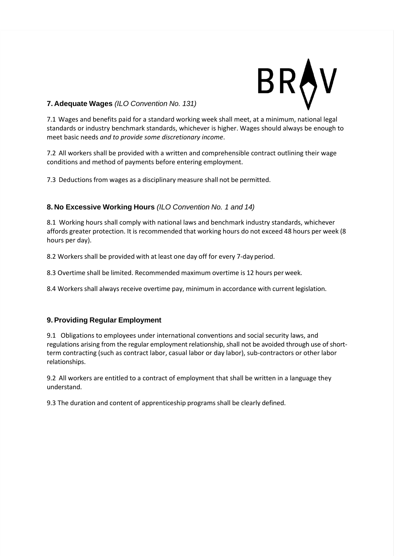#### **7. Adequate Wages** *(ILO Convention No. 131)*

7.1 Wages and benefits paid for a standard working week shall meet, at a minimum, national legal standards or industry benchmark standards, whichever is higher. Wages should always be enough to meet basic needs *and to provide some discretionary income*.

7.2 All workers shall be provided with a written and comprehensible contract outlining their wage conditions and method of payments before entering employment.

7.3 Deductions from wages as a disciplinary measure shall not be permitted.

#### **8. No Excessive Working Hours** *(ILO Convention No. 1 and 14)*

8.1 Working hours shall comply with national laws and benchmark industry standards, whichever affords greater protection. It is recommended that working hours do not exceed 48 hours per week (8 hours per day).

8.2 Workers shall be provided with at least one day off for every 7-day period.

8.3 Overtime shall be limited. Recommended maximum overtime is 12 hours per week.

8.4 Workers shall always receive overtime pay, minimum in accordance with current legislation.

#### **9. Providing Regular Employment**

9.1 Obligations to employees under international conventions and social security laws, and regulations arising from the regular employment relationship, shall not be avoided through use of shortterm contracting (such as contract labor, casual labor or day labor), sub-contractors or other labor relationships.

9.2 All workers are entitled to a contract of employment that shall be written in a language they understand.

9.3 The duration and content of apprenticeship programs shall be clearly defined.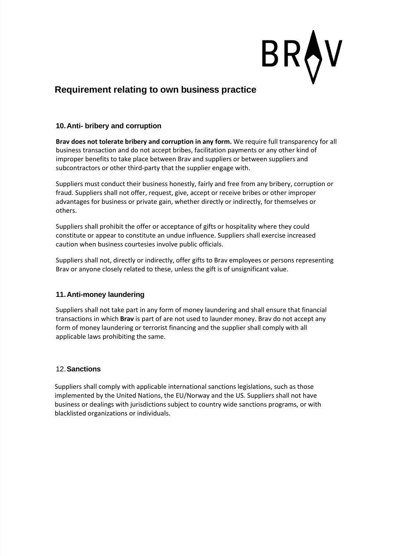

#### **Requirement relating to own business practice**

#### **10.Anti- bribery and corruption**

**Brav does not tolerate bribery and corruption in any form.** We require full transparency for all business transaction and do not accept bribes, facilitation payments or any other kind of improper benefits to take place between Brav and suppliers or between suppliers and subcontractors or other third-party that the supplier engage with.

Suppliers must conduct their business honestly, fairly and free from any bribery, corruption or fraud. Suppliers shall not offer, request, give, accept or receive bribes or other improper advantages for business or private gain, whether directly or indirectly, for themselves or others.

Suppliers shall prohibit the offer or acceptance of gifts or hospitality where they could constitute or appear to constitute an undue influence. Suppliers shall exercise increased caution when business courtesies involve public officials.

Suppliers shall not, directly or indirectly, offer gifts to Brav employees or persons representing Brav or anyone closely related to these, unless the gift is of unsignificant value.

#### **11.Anti-money laundering**

Suppliers shall not take part in any form of money laundering and shall ensure that financial transactions in which **Brav** is part of are not used to launder money. Brav do not accept any form of money laundering or terrorist financing and the supplier shall comply with all applicable laws prohibiting the same.

#### 12.**Sanctions**

Suppliers shall comply with applicable international sanctions legislations, such as those implemented by the United Nations, the EU/Norway and the US. Suppliers shall not have business or dealings with jurisdictions subject to country wide sanctions programs, or with blacklisted organizations or individuals.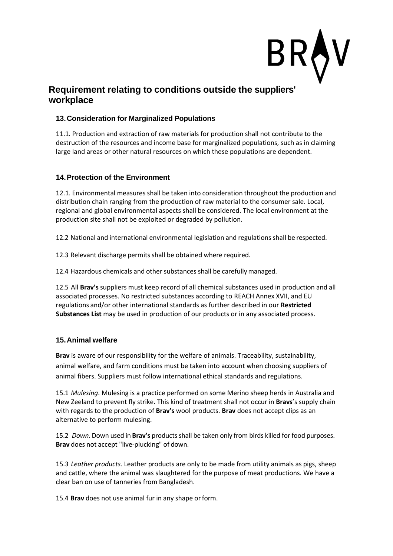#### **Requirement relating to conditions outside the suppliers' workplace**

#### **13.Consideration for Marginalized Populations**

11.1. Production and extraction of raw materials for production shall not contribute to the destruction of the resources and income base for marginalized populations, such as in claiming large land areas or other natural resources on which these populations are dependent.

#### **14.Protection of the Environment**

12.1. Environmental measures shall be taken into consideration throughout the production and distribution chain ranging from the production of raw material to the consumer sale. Local, regional and global environmental aspects shall be considered. The local environment at the production site shall not be exploited or degraded by pollution.

12.2 National and international environmental legislation and regulations shall be respected.

12.3 Relevant discharge permits shall be obtained where required.

12.4 Hazardous chemicals and other substances shall be carefullymanaged.

12.5 All **Brav's** suppliers must keep record of all chemical substances used in production and all associated processes. No restricted substances according to REACH Annex XVII, and EU regulations and/or other international standards as further described in our **Restricted Substances List** may be used in production of our products or in any associated process.

#### **15.Animal welfare**

**Brav** is aware of our responsibility for the welfare of animals. Traceability, sustainability, animal welfare, and farm conditions must be taken into account when choosing suppliers of animal fibers. Suppliers must follow international ethical standards and regulations.

15.1 *Mulesing*. Mulesing is a practice performed on some Merino sheep herds in Australia and New Zeeland to prevent fly strike. This kind of treatment shall not occur in **Bravs**'s supply chain with regards to the production of **Brav's** wool products. **Brav** does not accept clips as an alternative to perform mulesing.

15.2 *Down.* Down used in **Brav's** productsshall be taken only from birds killed for food purposes. **Brav** does not accept "live-plucking" of down.

15.3 *Leather products*. Leather products are only to be made from utility animals as pigs, sheep and cattle, where the animal was slaughtered for the purpose of meat productions. We have a clear ban on use of tanneries from Bangladesh.

15.4 **Brav** does not use animal fur in any shape orform.